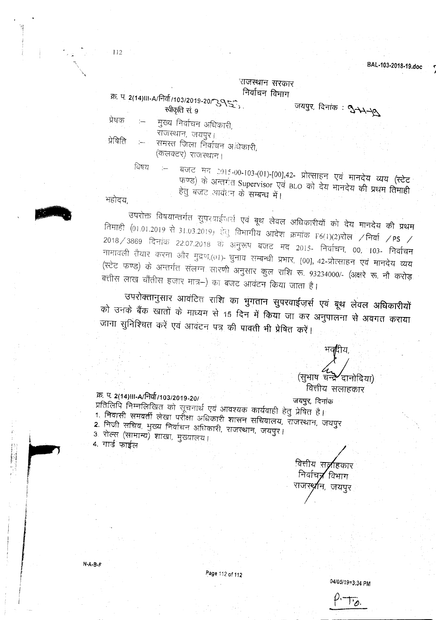*J*

## *:~fflCOR* निर्वाचन विभाग

क्र. प. 2(14)III-A/निर्वा/103/2019-20/ २९८९, संस्थान मन्मान जयपुर, दिनांक: पुन्मन्त्र स्वीकृति सं 9 प्रेषक :— मुख्य निर्वाचन अधिकारी, ज<br>राजस्थान, जयपुर। प्रेषिति :— समस्त जिला निर्वाचन अधिकारी,

(कलक्टर) राजस्थान।

महोदय

112

विषय बजट मद 2015-00-103-(01)-[00],42- प्रोत्साहन एवं मानदेय व्यय (स्टेट फण्ड) के अन्तर्गत Supervisor एवं BLO को देय मानदेय की प्रथम तिमाही हेतु बजट आवंतन के सम्बन्ध में।

उपरोक्त विषयान्तर्गत सुपरवाईजर्स एवं बूथ लेवल अधिकारीयों को देय मानदेय की प्रथम तिमाही (01.01.2019 से 31.03.2019) हेतु विभागीय आदेश क्रमांक F6(1)(2)रोल /निर्वा /PS /  $2018\,$  3869 दिनांक 22.07.2018 के अनुरूप बजट मद 2015- निर्वाचन, 00, 103- निर्वाचन नामावली तैयार करना और मुद्रण,(01)- चुनाव सम्बन्धी प्रभार, [00], 42-प्रोत्साहन एवं मानदेय व्यय (स्टेट फण्ड) के अन्तर्गत संलग्न सारणी अनुसार कुल राशि रू. 93234000/- (अक्षरे रू. नौ करोड़ बत्तीस लाख चौंतीस हजार मात्र–) का बजट आवंटन किया जाता है।

उपरोक्तानुसार आवंटित राशि का भुगतान सुपरवाईजर्स एवं बूथ लेवल अधिकारीयों को उनके बैंक खातों के माध्यम से 15 दिन में किया जा कर अनुपालना से अवगत कराया जाना सुनिश्चित करें एवं आवंटन पत्र की पावती भी प्रेषित करें।

## भव**मि**य. (सभाष चन्द्रे<sup>2</sup>दानोदिया) वित्तीय सलाहकार

## m: If. *2(14)IJI-AtFlclT/103/2019\_201 ~. ~*

प्रतिलिपि निम्नलिखित को सूचनार्थ एवं आवश्यक कार्यवाही हेत प्रेषित है।<br>1. फिल्मी — प 1. निवासी समवर्ती लेखा परीक्षा अधिकारी शासन सचिवालय, राजस्थान, जयपुर 2. निजी सचिव, मुख्य निर्वाचन अधिकारी, राजस्थान, जयपुर। 3. रोल्स (सामान्य) शाखा, मुख्यालय।<br>4. गार्ड फाईल

<u>वित्तीय स्**∂**हिकार</u> निर्वाचन्न विभाग राजस्**र्रा**न, जयपुर

 $N-A-B-F$ 

į, ling to the control of M

in the first manner

I~

Page 112 of 112

*04105/19=3;34*PM

.ھ' ا